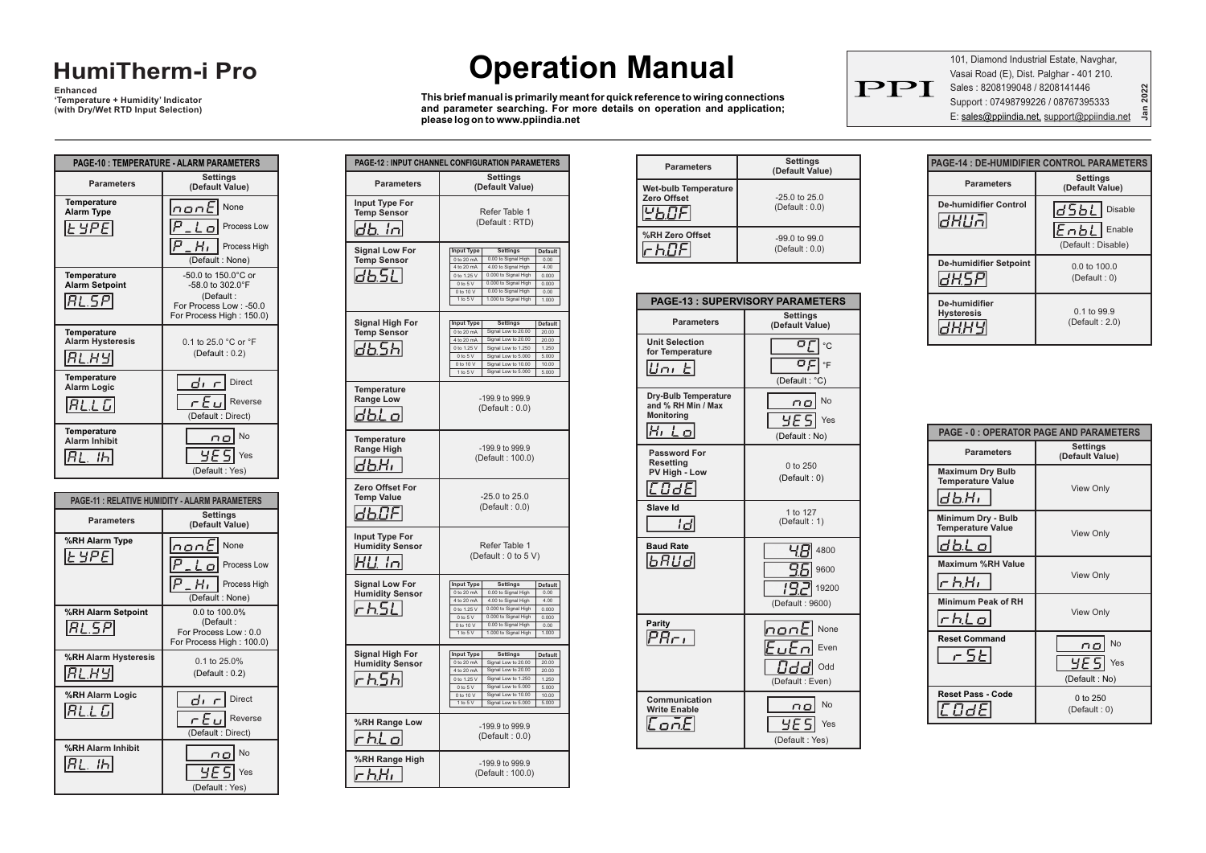## **HumiTherm-i Pro**

**Enhanced 'Temperature + Humidity' Indicator (with Dry/Wet RTD Input Selection)**

|                                                          | PAGE-10 : TEMPERATURE - ALARM PARAMETERS                                                                                     |
|----------------------------------------------------------|------------------------------------------------------------------------------------------------------------------------------|
| <b>Parameters</b>                                        | <b>Settings</b><br>(Default Value)                                                                                           |
| <b>Temperature</b><br><b>Alarm Type</b><br>$ $ Ł YPE $ $ | None<br>nont<br>Р<br>Process Low<br>P<br>н.<br>Process High<br>(Default: None)                                               |
| <b>Temperature</b><br><b>Alarm Setpoint</b><br> RL.5P    | $-50.0$ to 150.0 $^{\circ}$ C or<br>$-58.0$ to $302.0$ °F<br>(Default:<br>For Process Low: -50.0<br>For Process High: 150.0) |
| <b>Temperature</b><br><b>Alarm Hysteresis</b><br>RL.HY   | 0.1 to 25.0 °C or °F<br>(Default: 0.2)                                                                                       |
| <b>Temperature</b><br><b>Alarm Logic</b><br> RLLL        | dı<br><b>Direct</b><br>ان F م<br>Reverse<br>(Default: Direct)                                                                |
| <b>Temperature</b><br><b>Alarm Inhibit</b><br>ה!         | No<br>пo<br>чF<br>Yes<br>(Default: Yes)                                                                                      |

| <b>PAGE-11: RELATIVE HUMIDITY - ALARM PARAMETERS</b> |                                                                                            |
|------------------------------------------------------|--------------------------------------------------------------------------------------------|
| <b>Parameters</b>                                    | <b>Settings</b><br>(Default Value)                                                         |
| %RH Alarm Type<br> E YPE                             | InanE<br>None<br>Р<br>Process Low<br>IP<br>Process High<br>(Default: None)                 |
| %RH Alarm Setpoint<br> RL.5P                         | $0.0 \text{ to } 100.0\%$<br>(Default:<br>For Process Low: 0.0<br>For Process High: 100.0) |
| %RH Alarm Hysteresis<br>RL.HY                        | $0.1$ to 25 $0\%$<br>(Default: $0.2$ )                                                     |
| %RH Alarm Logic<br>RL.L G                            | dı r<br><b>Direct</b><br>ان 5 ی<br>Reverse<br>(Default: Direct)                            |
| %RH Alarm Inhibit<br>RL. Ih                          | No<br>ΠĽ<br>Yes<br>(Default: Yes)                                                          |

# **Operation Manual**

**This brief manual is primarily meant for quick reference to wiring connections and parameter searching. For more details on operation and application; please log on to www.ppiindia.net**

**Parameters Settings**

**Input Type For Temp Sensor**

 $db. In$ 

 $d$ b.SL

**Signal Low For Temp Sensor**

**Signal High For Temp Sensor**

**Temperature Range Low**

db.5h

**Temperature Range High**

 $dbH$ 

 $dBF$ 

 $H$  $L$ ,  $ln$ 

 $r$ <sub>h</sub> $5L$ 

 $dbLo$ 

**Zero Offset For Temp Value**

**Input Type For Humidity Sensor**

**Signal Low For Humidity Sensor**

**Signal High For Humidity Sensor**

 $r$ <sub>55</sub>

 $r$ h $l$  o $\;$ 

**%RH Range Low**

**%RH Range High** 

**PAGE-12 : INPUT CHANNEL CONFIGURATION PARAMETERS**

4 to 20 mA 0 to 1.25 V 0 to 5 V 0 to 10 V

0 to 20 mA 4 to 20 mA 0 to 1.25 V

**(Default Value)**

(Default : RTD) Refer Table 1

**Input Type Settings Default** 0 to 20 mA 0.00 to Signal High 0.00

4.00 to Signal High 4.00 0.000 to Signal High 0.000 to Signal High 0.000 0.00 to Signal High 0.00

Signal Low to 20.00 20.00 20.00 Signal Low to 20.00 Signal Low to 1.250 | 1.250

0.000

1 to 5 V 1.000 to Signal High 1.000

**Input Type Settings Default**

0 to 5 V | Signal Low to 5.000 | 5.000 0 to 10 V | Signal Low to 10.00 | 10.00 1 to 5 V | Signal Low to 5.000 | 5.000

> (Default : 0 to 5 V) Refer Table 1

 $\boxed{\text{Input Type}}$  Settings Default 0 to 20 mA 0.00 to Signal High 0.00 4 to 20 mA 4.00 to Signal High 4.00 0 to 1.25 V | 0.000 to Signal High | 0.000 0 to 5 V 0.000 to Signal High 0.000

**Input Type Settings Default**

0.00 to Signal High 0.00 1.000 to Signal High 1.000

 $30.00$ Signal Low to 20.00 20.00 Signal Low to 1.250 | 1.250 5.000 Signal Low to 5.000 Signal Low to 10.00 | 10.00

0 to 10 V  $1$  to  $5$  V

0 to 20 mA  $4$  to  $20$  m 0 to 1.25 V 0 to 5 V 0 to 10 V

(Default : 0.0) -25.0 to 25.0

-199.9 to 999.9 (Default : 0.0)

1 to 5 V | Signal Low to 5.000 | 5.000

-199.9 to 999.9 (Default : 100.0)

-199.9 to 999.9 (Default : 0.0)

-199.9 to 999.9 (Default : 100.0)

| <b>Parameters</b>                          | <b>Settings</b><br>(Default Value)  |
|--------------------------------------------|-------------------------------------|
| <b>Wet-bulb Temperature</b><br>Zero Offset | $-25.0$ to $25.0$<br>(Default: 0.0) |
| %RH Zero Offset                            | $-99.0$ to $99.0$<br>(Default: 0.0) |

|                                                                          | <b>PAGE-13: SUPERVISORY PARAMETERS</b>                           |
|--------------------------------------------------------------------------|------------------------------------------------------------------|
| <b>Parameters</b>                                                        | <b>Settings</b><br>(Default Value)                               |
| <b>Unit Selection</b><br>for Temperature<br>$^{\prime}$<br>ப்பட          | οŗ<br>$^{\circ}$ C<br>οŗι<br>∣∘⊧<br>(Default: °C)                |
| Dry-Bulb Temperature<br>and % RH Min / Max<br><b>Monitorina</b><br>Hi Lo | No<br>пo<br>4F 51<br>Yes<br>(Default: No)                        |
| Password For<br><b>Resetting</b><br>PV High - Low<br>COdE                | $0$ to $250$<br>(Default: 0)                                     |
| Slave Id<br>ld                                                           | 1 to 127<br>(Default: 1)                                         |
| <b>Baud Rate</b><br>6 RU d                                               | ЧE<br>4800<br>9.6<br>9600<br>19.<br>19200<br>(Default: 9600)     |
| Parity<br>$P R_{\Gamma L}$                                               | $n$ on $E$ None<br>Eutr<br>Even<br>Odc<br>Odd<br>(Default: Even) |
| Communication<br><b>Write Enable</b><br>ת מ                              | No<br>no<br>Yes<br>(Default: Yes)                                |

101, Diamond Industrial Estate, Navghar, Vasai Road (E), Dist. Palghar - 401 210. Sales : 8208199048 / 8208141446 Support : 07498799226 / 08767395333 E: sales@ppiindia.net, support@ppiindia.net

PPI

**Jan 2022**

| <b>PAGE-14 : DE-HUMIDIFIER CONTROL PARAMETERS</b> |                                                                             |  |
|---------------------------------------------------|-----------------------------------------------------------------------------|--|
| <b>Parameters</b>                                 | <b>Settings</b><br>(Default Value)                                          |  |
| <b>De-humidifier Control</b><br>ilin              | ld 5 b L<br><b>Disable</b><br>$ E \cap bL $<br>Enable<br>(Default: Disable) |  |
| <b>De-humidifier Setpoint</b>                     | $0.0$ to $100.0$<br>(Default: 0)                                            |  |
| De-humidifier<br><b>Hysteresis</b>                | 0.1 to 99.9<br>(Default:2.0)                                                |  |

| <b>PAGE - 0 : OPERATOR PAGE AND PARAMETERS</b>               |                                           |  |
|--------------------------------------------------------------|-------------------------------------------|--|
| <b>Parameters</b>                                            | <b>Settings</b><br>(Default Value)        |  |
| <b>Maximum Dry Bulb</b><br><b>Temperature Value</b><br>db.Hr | <b>View Only</b>                          |  |
| Minimum Dry - Bulb<br><b>Temperature Value</b><br>dbl o      | <b>View Only</b>                          |  |
| Maximum %RH Value<br>$\sigma$ h,H $\sigma$                   | <b>View Only</b>                          |  |
| Minimum Peak of RH<br>$r$ h.Lo                               | <b>View Only</b>                          |  |
| <b>Reset Command</b><br>r 5E                                 | No<br>no<br>9E SI<br>Yes<br>(Default: No) |  |
| <b>Reset Pass - Code</b><br>COde                             | 0 to $250$<br>(Default: 0)                |  |